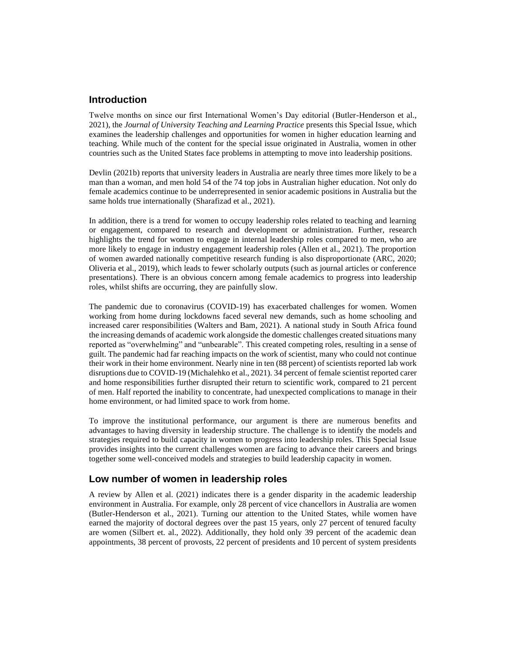# **Introduction**

Twelve months on since our first International Women's Day editorial (Butler-Henderson et al., 2021), the *Journal of University Teaching and Learning Practice* presents this Special Issue, which examines the leadership challenges and opportunities for women in higher education learning and teaching. While much of the content for the special issue originated in Australia, women in other countries such as the United States face problems in attempting to move into leadership positions.

Devlin (2021b) reports that university leaders in Australia are nearly three times more likely to be a man than a woman, and men hold 54 of the 74 top jobs in Australian higher education. Not only do female academics continue to be [underrepresented](https://journals.sagepub.com/doi/10.1177/0170840613483658) in senior academic positions i[n Australia](https://www.dese.gov.au/higher-education-statistics/staff-data) but the same holds true [internationally](https://doi.org/10.1111/gwao.12151) (Sharafizad et al., 2021).

In addition, there is a trend for women to occupy leadership roles related to teaching and learning or engagement, compared to research and development or administration. Further, research highlights the trend for women to engage in internal leadership roles compared to men, who are more likely to engage in industry engagement leadership roles (Allen et al., 2021). The proportion of women awarded nationally competitive research funding is also disproportionate (ARC, 2020; Oliveria et al., 2019), which leads to fewer scholarly outputs (such as journal articles or conference presentations). There is an obvious concern among female academics to progress into leadership roles, whilst shifts are occurring, they are painfully slow.

The pandemic due to coronavirus (COVID-19) has exacerbated challenges for women. Women working from home during lockdowns faced several new demands, such as home schooling and increased carer responsibilities (Walters and Bam, 2021). A national study in South Africa found the increasing demands of academic work alongside the domestic challenges created situations many reported as "overwhelming" and "unbearable". This created competing roles, resulting in a sense of guilt. The pandemic had far reaching impacts on the work of scientist, many who could not continue their work in their home environment. Nearly nine in ten (88 percent) of scientists reported lab work disruptions due to COVID-19 (Michalehko et al., 2021). 34 percent of female scientist reported carer and home responsibilities further disrupted their return to scientific work, compared to 21 percent of men. Half reported the inability to concentrate, had unexpected complications to manage in their home environment, or had limited space to work from home.

To improve the institutional performance, our argument is there are numerous benefits and advantages to having diversity in leadership structure. The challenge is to identify the models and strategies required to build capacity in women to progress into leadership roles. This Special Issue provides insights into the current challenges women are facing to advance their careers and brings together some well-conceived models and strategies to build leadership capacity in women.

## **Low number of women in leadership roles**

A review by Allen et al. (2021) indicates there is a gender disparity in the academic leadership environment in Australia. For example, only 28 percent of vice chancellors in Australia are women (Butler-Henderson et al., 2021). Turning our attention to the United States, while women have earned the majority of doctoral degrees over the past 15 years, only 27 percent of tenured faculty are women (Silbert et. al., 2022). Additionally, they hold only 39 percent of the academic dean appointments, 38 percent of provosts, 22 percent of presidents and 10 percent of system presidents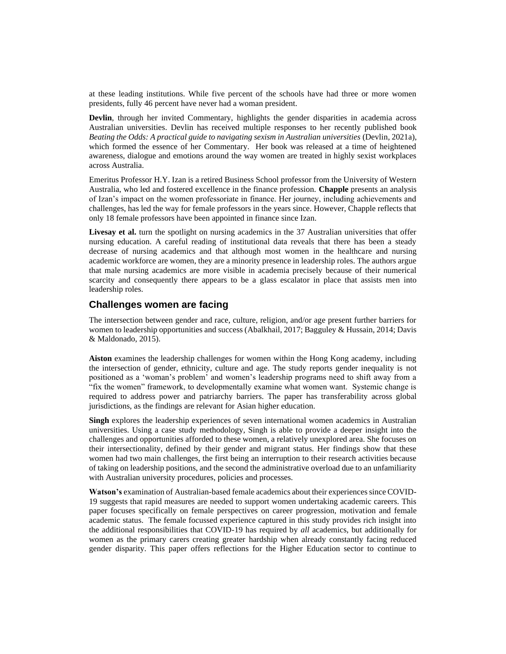at these leading institutions. While five percent of the schools have had three or more women presidents, fully 46 percent have never had a woman president.

**Devlin**, through her invited Commentary, highlights the gender disparities in academia across Australian universities. Devlin has received multiple responses to her recently published book *Beating the Odds: A practical guide to navigating sexism in Australian universities* (Devlin, 2021a), which formed the essence of her Commentary. Her book was released at a time of heightened awareness, dialogue and emotions around the way women are treated in highly sexist workplaces across Australia.

Emeritus Professor H.Y. Izan is a retired Business School professor from the University of Western Australia, who led and fostered excellence in the finance profession. **Chapple** presents an analysis of Izan's impact on the women professoriate in finance. Her journey, including achievements and challenges, has led the way for female professors in the years since. However, Chapple reflects that only 18 female professors have been appointed in finance since Izan.

**Livesay et al.** turn the spotlight on nursing academics in the 37 Australian universities that offer nursing education. A careful reading of institutional data reveals that there has been a steady decrease of nursing academics and that although most women in the healthcare and nursing academic workforce are women, they are a minority presence in leadership roles. The authors argue that male nursing academics are more visible in academia precisely because of their numerical scarcity and consequently there appears to be a glass escalator in place that assists men into leadership roles.

### **Challenges women are facing**

The intersection between gender and race, culture, religion, and/or age present further barriers for women to leadership opportunities and success (Abalkhail, 2017; Bagguley & Hussain, 2014; Davis & Maldonado, 2015).

**Aiston** examines the leadership challenges for women within the Hong Kong academy, including the intersection of gender, ethnicity, culture and age. The study reports gender inequality is not positioned as a 'woman's problem' and women's leadership programs need to shift away from a "fix the women" framework, to developmentally examine what women want. Systemic change is required to address power and patriarchy barriers. The paper has transferability across global jurisdictions, as the findings are relevant for Asian higher education.

**Singh** explores the leadership experiences of seven international women academics in Australian universities. Using a case study methodology, Singh is able to provide a deeper insight into the challenges and opportunities afforded to these women, a relatively unexplored area. She focuses on their intersectionality, defined by their gender and migrant status. Her findings show that these women had two main challenges, the first being an interruption to their research activities because of taking on leadership positions, and the second the administrative overload due to an unfamiliarity with Australian university procedures, policies and processes.

**Watson's** examination of Australian-based female academics about their experiences since COVID-19 suggests that rapid measures are needed to support women undertaking academic careers. This paper focuses specifically on female perspectives on career progression, motivation and female academic status. The female focussed experience captured in this study provides rich insight into the additional responsibilities that COVID-19 has required by *all* academics, but additionally for women as the primary carers creating greater hardship when already constantly facing reduced gender disparity. This paper offers reflections for the Higher Education sector to continue to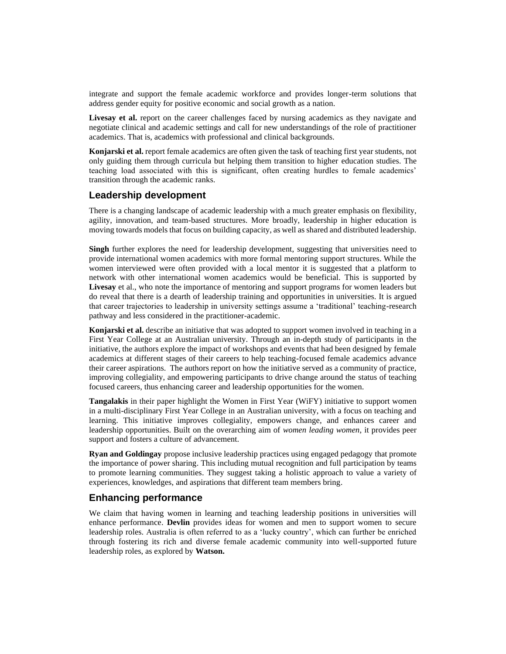integrate and support the female academic workforce and provides longer-term solutions that address gender equity for positive economic and social growth as a nation.

Livesay et al. report on the career challenges faced by nursing academics as they navigate and negotiate clinical and academic settings and call for new understandings of the role of practitioner academics. That is, academics with professional and clinical backgrounds.

**Konjarski et al.** report female academics are often given the task of teaching first year students, not only guiding them through curricula but helping them transition to higher education studies. The teaching load associated with this is significant, often creating hurdles to female academics' transition through the academic ranks.

#### **Leadership development**

There is a changing landscape of academic leadership with a much greater emphasis on flexibility, agility, innovation, and team-based structures. More broadly, leadership in higher education is moving towards models that focus on building capacity, as well as shared and distributed leadership.

**Singh** further explores the need for leadership development, suggesting that universities need to provide international women academics with more formal mentoring support structures. While the women interviewed were often provided with a local mentor it is suggested that a platform to network with other international women academics would be beneficial. This is supported by **Livesay** et al., who note the importance of mentoring and support programs for women leaders but do reveal that there is a dearth of leadership training and opportunities in universities. It is argued that career trajectories to leadership in university settings assume a 'traditional' teaching-research pathway and less considered in the practitioner-academic.

**Konjarski et al.** describe an initiative that was adopted to support women involved in teaching in a First Year College at an Australian university. Through an in-depth study of participants in the initiative, the authors explore the impact of workshops and events that had been designed by female academics at different stages of their careers to help teaching-focused female academics advance their career aspirations. The authors report on how the initiative served as a community of practice, improving collegiality, and empowering participants to drive change around the status of teaching focused careers, thus enhancing career and leadership opportunities for the women.

**Tangalakis** in their paper highlight the Women in First Year (WiFY) initiative to support women in a multi-disciplinary First Year College in an Australian university, with a focus on teaching and learning. This initiative improves collegiality, empowers change, and enhances career and leadership opportunities. Built on the overarching aim of *women leading women*, it provides peer support and fosters a culture of advancement.

**Ryan and Goldingay** propose inclusive leadership practices using engaged pedagogy that promote the importance of power sharing. This including mutual recognition and full participation by teams to promote learning communities. They suggest taking a holistic approach to value a variety of experiences, knowledges, and aspirations that different team members bring.

### **Enhancing performance**

We claim that having women in learning and teaching leadership positions in universities will enhance performance. **Devlin** provides ideas for women and men to support women to secure leadership roles. Australia is often referred to as a 'lucky country', which can further be enriched through fostering its rich and diverse female academic community into well-supported future leadership roles, as explored by **Watson.**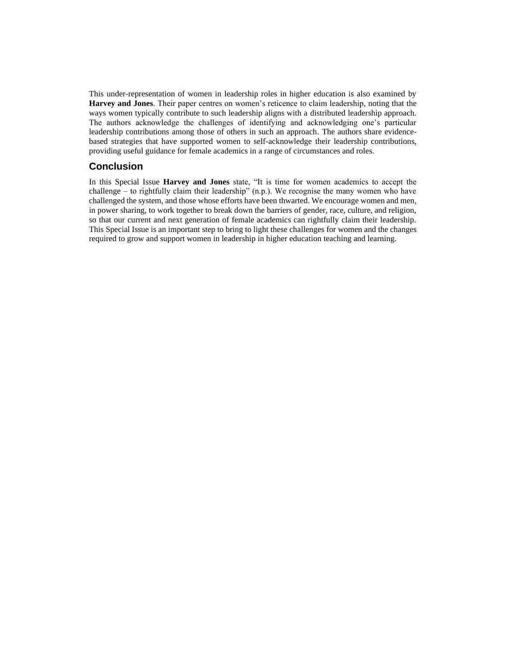This under-representation of women in leadership roles in higher education is also examined by **Harvey and Jones**. Their paper centres on women's reticence to claim leadership, noting that the ways women typically contribute to such leadership aligns with a distributed leadership approach. The authors acknowledge the challenges of identifying and acknowledging one's particular leadership contributions among those of others in such an approach. The authors share evidencebased strategies that have supported women to self-acknowledge their leadership contributions, providing useful guidance for female academics in a range of circumstances and roles.

## **Conclusion**

In this Special Issue **Harvey and Jones** state, "It is time for women academics to accept the challenge – to rightfully claim their leadership" (n.p.). We recognise the many women who have challenged the system, and those whose efforts have been thwarted. We encourage women and men, in power sharing, to work together to break down the barriers of gender, race, culture, and religion, so that our current and next generation of female academics can rightfully claim their leadership. This Special Issue is an important step to bring to light these challenges for women and the changes required to grow and support women in leadership in higher education teaching and learning.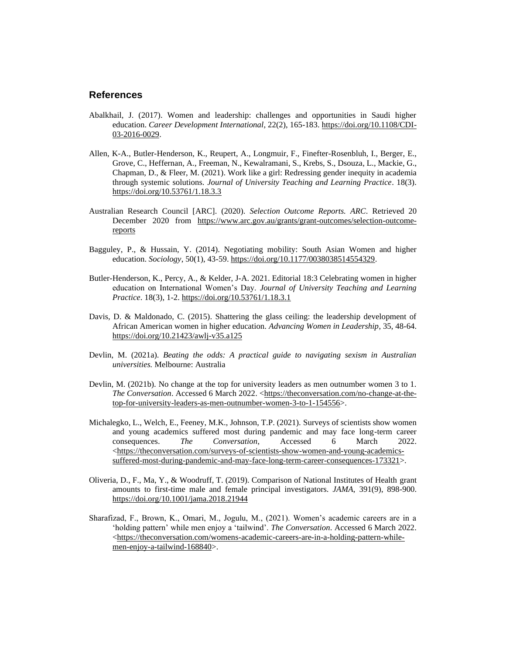# **References**

- Abalkhail, J. (2017). Women and leadership: challenges and opportunities in Saudi higher education. *Career Development International*, 22(2), 165-183. [https://doi.org/10.1108/CDI-](https://doi.org/10.1108/CDI-03-2016-0029)[03-2016-0029.](https://doi.org/10.1108/CDI-03-2016-0029)
- Allen, K-A., Butler-Henderson, K., Reupert, A., Longmuir, F., Finefter-Rosenbluh, I., Berger, E., Grove, C., Heffernan, A., Freeman, N., Kewalramani, S., Krebs, S., Dsouza, L., Mackie, G., Chapman, D., & Fleer, M. (2021). Work like a girl: Redressing gender inequity in academia through systemic solutions. *Journal of University Teaching and Learning Practice*. 18(3). <https://doi.org/10.53761/1.18.3.3>
- Australian Research Council [ARC]. (2020). *Selection Outcome Reports. ARC*. Retrieved 20 December 2020 from [https://www.arc.gov.au/grants/grant-outcomes/selection-outcome](https://www.arc.gov.au/grants/grant-outcomes/selection-outcome-reports)[reports](https://www.arc.gov.au/grants/grant-outcomes/selection-outcome-reports)
- Bagguley, P., & Hussain, Y. (2014). Negotiating mobility: South Asian Women and higher education. *Sociology*, 50(1), 43-59[. https://doi.org/10.1177/0038038514554329.](https://doi.org/10.1177/0038038514554329)
- Butler-Henderson, K., Percy, A., & Kelder, J-A. 2021. Editorial 18:3 Celebrating women in higher education on International Women's Day. *Journal of University Teaching and Learning Practice*. 18(3), 1-2. <https://doi.org/10.53761/1.18.3.1>
- Davis, D. & Maldonado, C. (2015). Shattering the glass ceiling: the leadership development of African American women in higher education. *Advancing Women in Leadership*, 35, 48-64. <https://doi.org/10.21423/awlj-v35.a125>
- Devlin, M. (2021a). *Beating the odds: A practical guide to navigating sexism in Australian universities.* Melbourne: Australia
- Devlin, M. (2021b). No change at the top for university leaders as men outnumber women 3 to 1. *The Conversation*. Accessed 6 March 2022. [<https://theconversation.com/no-change-at-the](https://theconversation.com/no-change-at-the-top-for-university-leaders-as-men-outnumber-women-3-to-1-154556)[top-for-university-leaders-as-men-outnumber-women-3-to-1-154556>](https://theconversation.com/no-change-at-the-top-for-university-leaders-as-men-outnumber-women-3-to-1-154556).
- Michalegko, L., Welch, E., Feeney, M.K., Johnson, T.P. (2021). Surveys of scientists show women and young academics suffered most during pandemic and may face long-term career consequences. The Conversation, Accessed 6 March 2022. consequences. *The Conversation*, Accessed 6 March 2022. [<https://theconversation.com/surveys-of-scientists-show-women-and-young-academics](https://theconversation.com/surveys-of-scientists-show-women-and-young-academics-suffered-most-during-pandemic-and-may-face-long-term-career-consequences-173321)[suffered-most-during-pandemic-and-may-face-long-term-career-consequences-173321>](https://theconversation.com/surveys-of-scientists-show-women-and-young-academics-suffered-most-during-pandemic-and-may-face-long-term-career-consequences-173321).
- Oliveria, D., F., Ma, Y., & Woodruff, T. (2019). Comparison of National Institutes of Health grant amounts to first-time male and female principal investigators. *JAMA*, 391(9), 898-900. <https://doi.org/10.1001/jama.2018.21944>
- Sharafizad, F., Brown, K., Omari, M., Jogulu, M., (2021). Women's academic careers are in a 'holding pattern' while men enjoy a 'tailwind'. *The Conversation*. Accessed 6 March 2022. [<https://theconversation.com/womens-academic-careers-are-in-a-holding-pattern-while](https://theconversation.com/womens-academic-careers-are-in-a-holding-pattern-while-men-enjoy-a-tailwind-168840)[men-enjoy-a-tailwind-168840>](https://theconversation.com/womens-academic-careers-are-in-a-holding-pattern-while-men-enjoy-a-tailwind-168840).